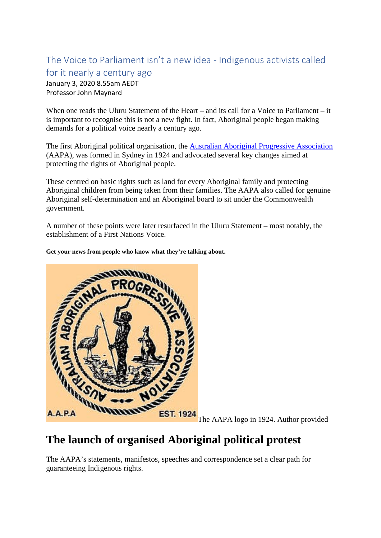#### The Voice to Parliament isn't a new idea - Indigenous activists called for it nearly a century ago

January 3, 2020 8.55am AEDT Professor John Maynard

When one reads the Uluru Statement of the Heart – and its call for a Voice to Parliament – it is important to recognise this is not a new fight. In fact, Aboriginal people began making demands for a political voice nearly a century ago.

The first Aboriginal political organisation, the [Australian Aboriginal Progressive Association](https://www.nma.gov.au/defining-moments/resources/formation-of-the-aapa) (AAPA), was formed in Sydney in 1924 and advocated several key changes aimed at protecting the rights of Aboriginal people.

These centred on basic rights such as land for every Aboriginal family and protecting Aboriginal children from being taken from their families. The AAPA also called for genuine Aboriginal self-determination and an Aboriginal board to sit under the Commonwealth government.

A number of these points were later resurfaced in the Uluru Statement – most notably, the establishment of a First Nations Voice.

**Get your news from people who know what they're talking about.**



The AAPA logo in 1924. Author provided

## **The launch of organised Aboriginal political protest**

The AAPA's statements, manifestos, speeches and correspondence set a clear path for guaranteeing Indigenous rights.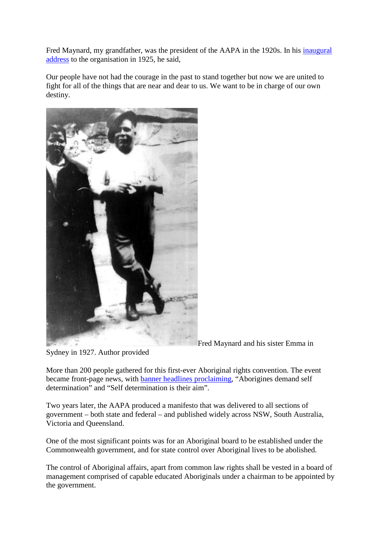Fred Maynard, my grandfather, was the president of the AAPA in the 1920s. In his *inaugural* [address](https://maas.museum/magazine/2015/12/the-rise-and-demise-of-the-freedom-club/) to the organisation in 1925, he said,

Our people have not had the courage in the past to stand together but now we are united to fight for all of the things that are near and dear to us. We want to be in charge of our own destiny.



Fred Maynard and his sister Emma in

Sydney in 1927. Author provided

More than 200 people gathered for this first-ever Aboriginal rights convention. The event became front-page news, with [banner headlines proclaiming,](https://aiatsis.gov.au/publications/products/fight-liberty-and-freedom-origins-australian-aboriginal-activism/paperback) "Aborigines demand self determination" and "Self determination is their aim".

Two years later, the AAPA produced a manifesto that was delivered to all sections of government – both state and federal – and published widely across NSW, South Australia, Victoria and Queensland.

One of the most significant points was for an Aboriginal board to be established under the Commonwealth government, and for state control over Aboriginal lives to be abolished.

The control of Aboriginal affairs, apart from common law rights shall be vested in a board of management comprised of capable educated Aboriginals under a chairman to be appointed by the government.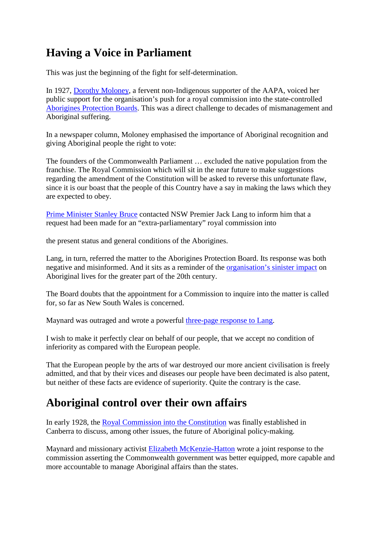# **Having a Voice in Parliament**

This was just the beginning of the fight for self-determination.

In 1927, [Dorothy Moloney,](https://www.booktopia.com.au/fight-for-liberty-and-freedom-john-maynard/book/9780855755508.html) a fervent non-Indigenous supporter of the AAPA, voiced her public support for the organisation's push for a royal commission into the state-controlled [Aborigines Protection Boards.](https://theconversation.com/capturing-the-lived-history-of-the-aborigines-protection-board-while-we-still-can-46259) This was a direct challenge to decades of mismanagement and Aboriginal suffering.

In a newspaper column, Moloney emphasised the importance of Aboriginal recognition and giving Aboriginal people the right to vote:

The founders of the Commonwealth Parliament … excluded the native population from the franchise. The Royal Commission which will sit in the near future to make suggestions regarding the amendment of the Constitution will be asked to reverse this unfortunate flaw, since it is our boast that the people of this Country have a say in making the laws which they are expected to obey.

[Prime Minister Stanley Bruce](https://primeministers.moadoph.gov.au/prime-ministers/stanley-bruce) contacted NSW Premier Jack Lang to inform him that a request had been made for an "extra-parliamentary" royal commission into

the present status and general conditions of the Aborigines.

Lang, in turn, referred the matter to the Aborigines Protection Board. Its response was both negative and misinformed. And it sits as a reminder of the [organisation's sinister impact](https://theconversation.com/capturing-the-lived-history-of-the-aborigines-protection-board-while-we-still-can-46259) on Aboriginal lives for the greater part of the 20th century.

The Board doubts that the appointment for a Commission to inquire into the matter is called for, so far as New South Wales is concerned.

Maynard was outraged and wrote a powerful [three-page response to Lang.](https://aiatsis.gov.au/publications/products/fight-liberty-and-freedom-origins-australian-aboriginal-activism/paperback)

I wish to make it perfectly clear on behalf of our people, that we accept no condition of inferiority as compared with the European people.

That the European people by the arts of war destroyed our more ancient civilisation is freely admitted, and that by their vices and diseases our people have been decimated is also patent, but neither of these facts are evidence of superiority. Quite the contrary is the case.

## **Aboriginal control over their own affairs**

In early 1928, the [Royal Commission into the Constitution](https://trove.nla.gov.au/work/5571372?q&versionId=45120535) was finally established in Canberra to discuss, among other issues, the future of Aboriginal policy-making.

Maynard and missionary activist [Elizabeth McKenzie-Hatton](http://www.womenaustralia.info/leaders/biogs/WLE0194b.htm) wrote a joint response to the commission asserting the Commonwealth government was better equipped, more capable and more accountable to manage Aboriginal affairs than the states.